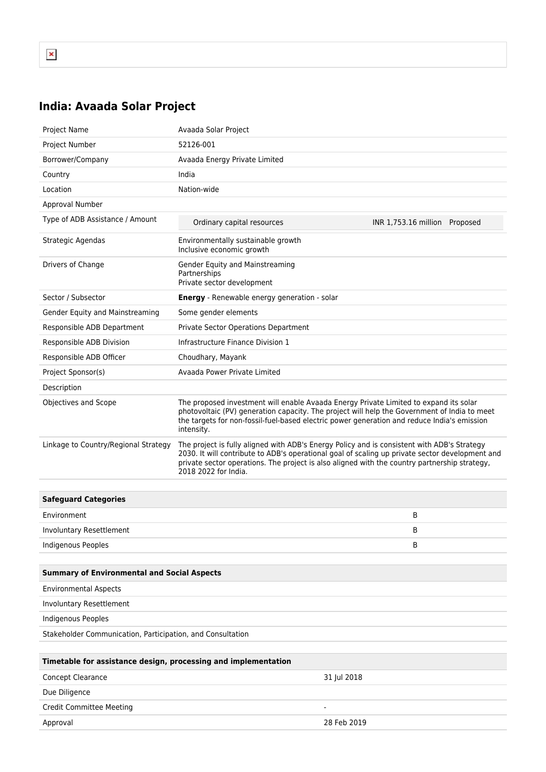## **India: Avaada Solar Project**

| <b>Project Name</b>                                            | Avaada Solar Project                                                                                                                                                                                                                                                                                                    |                               |
|----------------------------------------------------------------|-------------------------------------------------------------------------------------------------------------------------------------------------------------------------------------------------------------------------------------------------------------------------------------------------------------------------|-------------------------------|
| Project Number                                                 | 52126-001                                                                                                                                                                                                                                                                                                               |                               |
| Borrower/Company                                               | Avaada Energy Private Limited                                                                                                                                                                                                                                                                                           |                               |
| Country                                                        | India                                                                                                                                                                                                                                                                                                                   |                               |
| Location                                                       | Nation-wide                                                                                                                                                                                                                                                                                                             |                               |
| Approval Number                                                |                                                                                                                                                                                                                                                                                                                         |                               |
| Type of ADB Assistance / Amount                                | Ordinary capital resources                                                                                                                                                                                                                                                                                              | INR 1,753.16 million Proposed |
| Strategic Agendas                                              | Environmentally sustainable growth<br>Inclusive economic growth                                                                                                                                                                                                                                                         |                               |
| Drivers of Change                                              | Gender Equity and Mainstreaming<br>Partnerships<br>Private sector development                                                                                                                                                                                                                                           |                               |
| Sector / Subsector                                             | <b>Energy</b> - Renewable energy generation - solar                                                                                                                                                                                                                                                                     |                               |
| Gender Equity and Mainstreaming                                | Some gender elements                                                                                                                                                                                                                                                                                                    |                               |
| Responsible ADB Department                                     | Private Sector Operations Department                                                                                                                                                                                                                                                                                    |                               |
| Responsible ADB Division                                       | Infrastructure Finance Division 1                                                                                                                                                                                                                                                                                       |                               |
| Responsible ADB Officer                                        | Choudhary, Mayank                                                                                                                                                                                                                                                                                                       |                               |
| Project Sponsor(s)                                             | Avaada Power Private Limited                                                                                                                                                                                                                                                                                            |                               |
| Description                                                    |                                                                                                                                                                                                                                                                                                                         |                               |
| Objectives and Scope                                           | The proposed investment will enable Avaada Energy Private Limited to expand its solar<br>photovoltaic (PV) generation capacity. The project will help the Government of India to meet<br>the targets for non-fossil-fuel-based electric power generation and reduce India's emission<br>intensity.                      |                               |
| Linkage to Country/Regional Strategy                           | The project is fully aligned with ADB's Energy Policy and is consistent with ADB's Strategy<br>2030. It will contribute to ADB's operational goal of scaling up private sector development and<br>private sector operations. The project is also aligned with the country partnership strategy,<br>2018 2022 for India. |                               |
|                                                                |                                                                                                                                                                                                                                                                                                                         |                               |
| <b>Safeguard Categories</b>                                    |                                                                                                                                                                                                                                                                                                                         |                               |
| Environment                                                    |                                                                                                                                                                                                                                                                                                                         | В                             |
| Involuntary Resettlement                                       |                                                                                                                                                                                                                                                                                                                         | В                             |
| <b>Indigenous Peoples</b>                                      |                                                                                                                                                                                                                                                                                                                         | В                             |
| <b>Summary of Environmental and Social Aspects</b>             |                                                                                                                                                                                                                                                                                                                         |                               |
| <b>Environmental Aspects</b>                                   |                                                                                                                                                                                                                                                                                                                         |                               |
| Involuntary Resettlement                                       |                                                                                                                                                                                                                                                                                                                         |                               |
| Indigenous Peoples                                             |                                                                                                                                                                                                                                                                                                                         |                               |
| Stakeholder Communication, Participation, and Consultation     |                                                                                                                                                                                                                                                                                                                         |                               |
|                                                                |                                                                                                                                                                                                                                                                                                                         |                               |
| Timetable for assistance design, processing and implementation |                                                                                                                                                                                                                                                                                                                         |                               |
| Concept Clearance                                              | 31 Jul 2018                                                                                                                                                                                                                                                                                                             |                               |
| Due Diligence                                                  |                                                                                                                                                                                                                                                                                                                         |                               |
| <b>Credit Committee Meeting</b>                                |                                                                                                                                                                                                                                                                                                                         |                               |
|                                                                |                                                                                                                                                                                                                                                                                                                         |                               |